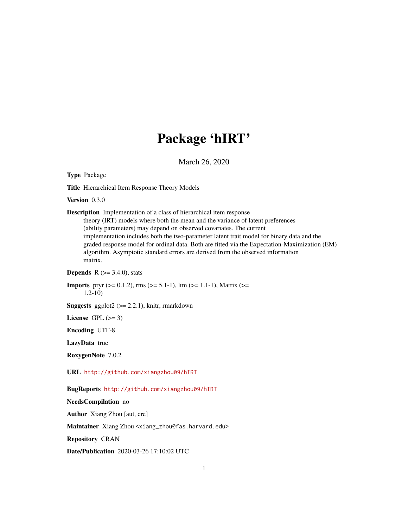## Package 'hIRT'

March 26, 2020

<span id="page-0-0"></span>Type Package

Title Hierarchical Item Response Theory Models

Version 0.3.0

Description Implementation of a class of hierarchical item response theory (IRT) models where both the mean and the variance of latent preferences (ability parameters) may depend on observed covariates. The current implementation includes both the two-parameter latent trait model for binary data and the graded response model for ordinal data. Both are fitted via the Expectation-Maximization (EM) algorithm. Asymptotic standard errors are derived from the observed information matrix.

**Depends** R  $(>= 3.4.0)$ , stats

**Imports** pryr ( $>= 0.1.2$ ), rms ( $>= 5.1-1$ ), ltm ( $>= 1.1-1$ ), Matrix ( $>= 1.1-1$ ) 1.2-10)

**Suggests** ggplot $2$  ( $>= 2.2.1$ ), knitr, rmarkdown

License GPL  $(>= 3)$ 

Encoding UTF-8

LazyData true

RoxygenNote 7.0.2

URL <http://github.com/xiangzhou09/hIRT>

BugReports <http://github.com/xiangzhou09/hIRT>

NeedsCompilation no

Author Xiang Zhou [aut, cre]

Maintainer Xiang Zhou <xiang\_zhou@fas.harvard.edu>

Repository CRAN

Date/Publication 2020-03-26 17:10:02 UTC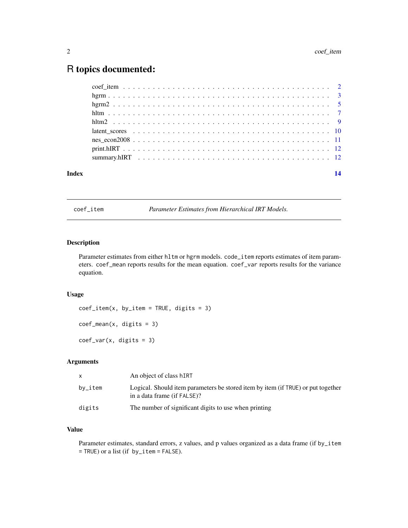## <span id="page-1-0"></span>R topics documented:

| Index |  |
|-------|--|
|       |  |
|       |  |
|       |  |
|       |  |
|       |  |
|       |  |
|       |  |
|       |  |
|       |  |

coef\_item *Parameter Estimates from Hierarchical IRT Models.*

#### Description

Parameter estimates from either hltm or hgrm models. code\_item reports estimates of item parameters. coef\_mean reports results for the mean equation. coef\_var reports results for the variance equation.

#### Usage

 $coef\_item(x, by\_item = TRUE, digits = 3)$ coef\_mean(x, digits = 3)  $coef\_var(x, digits = 3)$ 

#### Arguments

| X          | An object of class hIRT                                                                                         |
|------------|-----------------------------------------------------------------------------------------------------------------|
| $by$ _item | Logical. Should item parameters be stored item by item (if TRUE) or put together<br>in a data frame (if FALSE)? |
| digits     | The number of significant digits to use when printing                                                           |

#### Value

Parameter estimates, standard errors, z values, and p values organized as a data frame (if by\_item = TRUE) or a list (if by\_item = FALSE).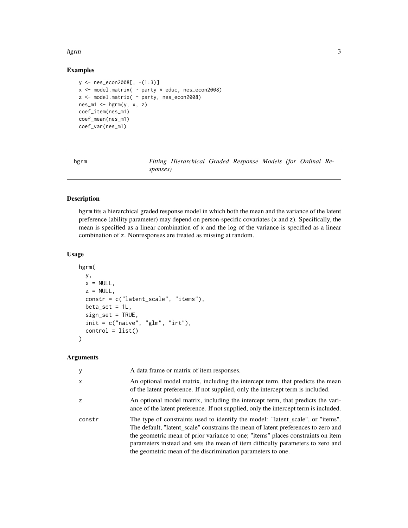#### <span id="page-2-0"></span>hgrm 3

#### Examples

```
y <- nes_econ2008[, -(1:3)]
x \le model.matrix( \sim party * educ, nes_econ2008)
z <- model.matrix( ~ party, nes_econ2008)
nes_m1 \leftarrow hgrm(y, x, z)coef_item(nes_m1)
coef_mean(nes_m1)
coef_var(nes_m1)
```
hgrm *Fitting Hierarchical Graded Response Models (for Ordinal Responses)*

#### Description

hgrm fits a hierarchical graded response model in which both the mean and the variance of the latent preference (ability parameter) may depend on person-specific covariates (x and z). Specifically, the mean is specified as a linear combination of x and the log of the variance is specified as a linear combination of z. Nonresponses are treated as missing at random.

#### Usage

```
hgrm(
 y,
 x = NULL,z = NULL,constr = c("latent_scale", "items"),
 beta_set = 1L,
  sign_set = TRUE,
  init = c("naive", "glm", "irt"),control = list())
```
#### Arguments

| У      | A data frame or matrix of item responses.                                                                                                                                                                                                                                                                                                                                                                |
|--------|----------------------------------------------------------------------------------------------------------------------------------------------------------------------------------------------------------------------------------------------------------------------------------------------------------------------------------------------------------------------------------------------------------|
| X      | An optional model matrix, including the intercept term, that predicts the mean<br>of the latent preference. If not supplied, only the intercept term is included.                                                                                                                                                                                                                                        |
| z      | An optional model matrix, including the intercept term, that predicts the vari-<br>ance of the latent preference. If not supplied, only the intercept term is included.                                                                                                                                                                                                                                  |
| constr | The type of constraints used to identify the model: "latent_scale", or "items".<br>The default, "latent_scale" constrains the mean of latent preferences to zero and<br>the geometric mean of prior variance to one; "items" places constraints on item<br>parameters instead and sets the mean of item difficulty parameters to zero and<br>the geometric mean of the discrimination parameters to one. |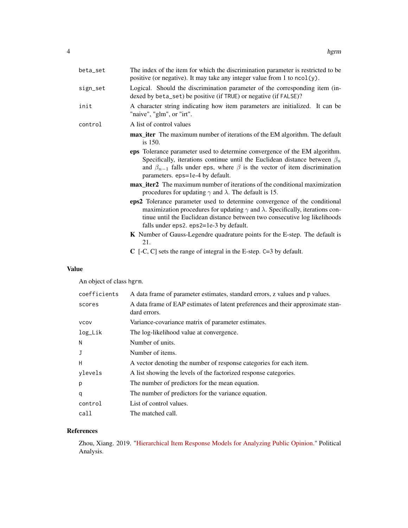| beta_set | The index of the item for which the discrimination parameter is restricted to be<br>positive (or negative). It may take any integer value from 1 to $ncol(y)$ .                                                                                                                                   |
|----------|---------------------------------------------------------------------------------------------------------------------------------------------------------------------------------------------------------------------------------------------------------------------------------------------------|
| sign_set | Logical. Should the discrimination parameter of the corresponding item (in-<br>dexed by beta_set) be positive (if TRUE) or negative (if FALSE)?                                                                                                                                                   |
| init     | A character string indicating how item parameters are initialized. It can be<br>"naive", "glm", or "irt".                                                                                                                                                                                         |
| control  | A list of control values                                                                                                                                                                                                                                                                          |
|          | <b>max_iter</b> The maximum number of iterations of the EM algorithm. The default<br>is 150.                                                                                                                                                                                                      |
|          | eps Tolerance parameter used to determine convergence of the EM algorithm.<br>Specifically, iterations continue until the Euclidean distance between $\beta_n$<br>and $\beta_{n-1}$ falls under eps, where $\beta$ is the vector of item discrimination<br>parameters. eps=1e-4 by default.       |
|          | <b>max</b> iter2 The maximum number of iterations of the conditional maximization<br>procedures for updating $\gamma$ and $\lambda$ . The default is 15.                                                                                                                                          |
|          | eps2 Tolerance parameter used to determine convergence of the conditional<br>maximization procedures for updating $\gamma$ and $\lambda$ . Specifically, iterations con-<br>tinue until the Euclidean distance between two consecutive log likelihoods<br>falls under eps2. eps2=1e-3 by default. |
|          | <b>K</b> Number of Gauss-Legendre quadrature points for the E-step. The default is<br>21.                                                                                                                                                                                                         |
|          | $C$ [-C, C] sets the range of integral in the E-step. $C=3$ by default.                                                                                                                                                                                                                           |

### Value

An object of class hgrm.

| coefficients | A data frame of parameter estimates, standard errors, z values and p values.                    |
|--------------|-------------------------------------------------------------------------------------------------|
| scores       | A data frame of EAP estimates of latent preferences and their approximate stan-<br>dard errors. |
| <b>VCOV</b>  | Variance-covariance matrix of parameter estimates.                                              |
| log_Lik      | The log-likelihood value at convergence.                                                        |
| N            | Number of units.                                                                                |
|              | Number of items.                                                                                |
| н            | A vector denoting the number of response categories for each item.                              |
| ylevels      | A list showing the levels of the factorized response categories.                                |
| p            | The number of predictors for the mean equation.                                                 |
| q            | The number of predictors for the variance equation.                                             |
| control      | List of control values.                                                                         |
| call         | The matched call.                                                                               |

### References

Zhou, Xiang. 2019. ["Hierarchical Item Response Models for Analyzing Public Opinion."](https://doi.org/10.1017/pan.2018.63) Political Analysis.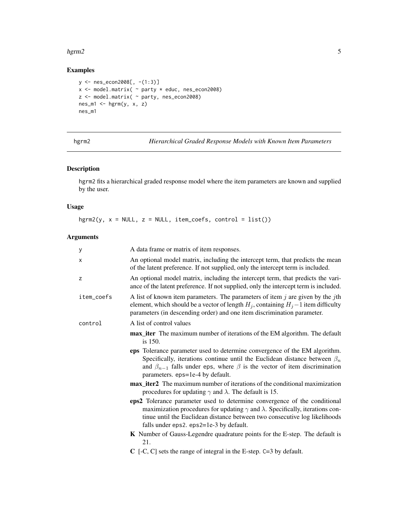#### <span id="page-4-0"></span> $harm2$  5

#### Examples

```
y <- nes_econ2008[, -(1:3)]
x <- model.matrix( ~ party * educ, nes_econ2008)
z <- model.matrix( ~ party, nes_econ2008)
nes_m1 <- hgrm(y, x, z)
nes_m1
```
hgrm2 *Hierarchical Graded Response Models with Known Item Parameters*

#### Description

hgrm2 fits a hierarchical graded response model where the item parameters are known and supplied by the user.

#### Usage

 $hgrm2(y, x = NULL, z = NULL, item\_coeffs, control = list())$ 

#### Arguments

| У          | A data frame or matrix of item responses.                                                                                                                                                                                                                                                         |
|------------|---------------------------------------------------------------------------------------------------------------------------------------------------------------------------------------------------------------------------------------------------------------------------------------------------|
| X          | An optional model matrix, including the intercept term, that predicts the mean<br>of the latent preference. If not supplied, only the intercept term is included.                                                                                                                                 |
| z          | An optional model matrix, including the intercept term, that predicts the vari-<br>ance of the latent preference. If not supplied, only the intercept term is included.                                                                                                                           |
| item_coefs | A list of known item parameters. The parameters of item $j$ are given by the $j$ th<br>element, which should be a vector of length $H_j$ , containing $H_j - 1$ item difficulty<br>parameters (in descending order) and one item discrimination parameter.                                        |
| control    | A list of control values                                                                                                                                                                                                                                                                          |
|            | <b>max_iter</b> The maximum number of iterations of the EM algorithm. The default<br>is 150.                                                                                                                                                                                                      |
|            | eps Tolerance parameter used to determine convergence of the EM algorithm.<br>Specifically, iterations continue until the Euclidean distance between $\beta_n$<br>and $\beta_{n-1}$ falls under eps, where $\beta$ is the vector of item discrimination<br>parameters. eps=1e-4 by default.       |
|            | <b>max</b> iter2 The maximum number of iterations of the conditional maximization<br>procedures for updating $\gamma$ and $\lambda$ . The default is 15.                                                                                                                                          |
|            | eps2 Tolerance parameter used to determine convergence of the conditional<br>maximization procedures for updating $\gamma$ and $\lambda$ . Specifically, iterations con-<br>tinue until the Euclidean distance between two consecutive log likelihoods<br>falls under eps2. eps2=1e-3 by default. |
|            | <b>K</b> Number of Gauss-Legendre quadrature points for the E-step. The default is<br>21.                                                                                                                                                                                                         |
|            | $C$ [-C, C] sets the range of integral in the E-step. $C=3$ by default.                                                                                                                                                                                                                           |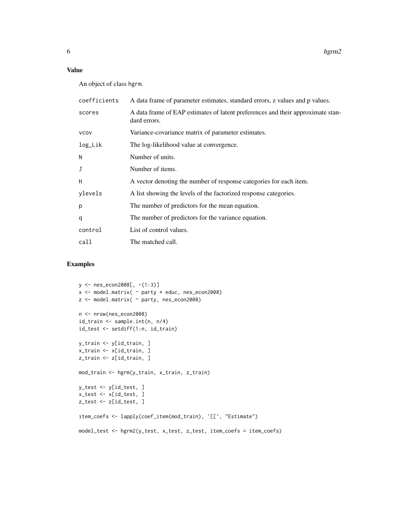#### Value

An object of class hgrm.

| coefficients | A data frame of parameter estimates, standard errors, z values and p values.                    |
|--------------|-------------------------------------------------------------------------------------------------|
| scores       | A data frame of EAP estimates of latent preferences and their approximate stan-<br>dard errors. |
| <b>VCOV</b>  | Variance-covariance matrix of parameter estimates.                                              |
| log_Lik      | The log-likelihood value at convergence.                                                        |
| N            | Number of units.                                                                                |
|              | Number of items.                                                                                |
| H            | A vector denoting the number of response categories for each item.                              |
| ylevels      | A list showing the levels of the factorized response categories.                                |
| p            | The number of predictors for the mean equation.                                                 |
| q            | The number of predictors for the variance equation.                                             |
| control      | List of control values.                                                                         |
| call         | The matched call.                                                                               |
|              |                                                                                                 |

#### Examples

```
y <- nes_econ2008[, -(1:3)]
x <- model.matrix( ~ party * educ, nes_econ2008)
z <- model.matrix( ~ party, nes_econ2008)
n <- nrow(nes_econ2008)
id_train <- sample.int(n, n/4)
id_test <- setdiff(1:n, id_train)
y_train <- y[id_train, ]
x_train <- x[id_train, ]
z_train <- z[id_train, ]
mod_train <- hgrm(y_train, x_train, z_train)
y_test <- y[id_test, ]
x_test <- x[id_test, ]
z_test <- z[id_test, ]
item_coefs <- lapply(coef_item(mod_train), `[[`, "Estimate")
model_test <- hgrm2(y_test, x_test, z_test, item_coefs = item_coefs)
```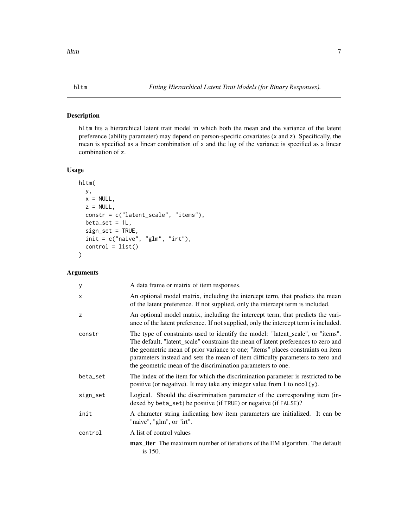#### <span id="page-6-0"></span>Description

hltm fits a hierarchical latent trait model in which both the mean and the variance of the latent preference (ability parameter) may depend on person-specific covariates (x and z). Specifically, the mean is specified as a linear combination of x and the log of the variance is specified as a linear combination of z.

#### Usage

```
hltm(
 y,
 x = NULL,z = NULL,constr = c("latent_scale", "items"),
 beta_set = 1L,
 sign_set = TRUE,
 init = c("naive", "glm", "irt"),control = list())
```
#### Arguments

| У        | A data frame or matrix of item responses.                                                                                                                                                                                                                                                                                                                                                                |
|----------|----------------------------------------------------------------------------------------------------------------------------------------------------------------------------------------------------------------------------------------------------------------------------------------------------------------------------------------------------------------------------------------------------------|
| X        | An optional model matrix, including the intercept term, that predicts the mean<br>of the latent preference. If not supplied, only the intercept term is included.                                                                                                                                                                                                                                        |
| Z        | An optional model matrix, including the intercept term, that predicts the vari-<br>ance of the latent preference. If not supplied, only the intercept term is included.                                                                                                                                                                                                                                  |
| constr   | The type of constraints used to identify the model: "latent_scale", or "items".<br>The default, "latent_scale" constrains the mean of latent preferences to zero and<br>the geometric mean of prior variance to one; "items" places constraints on item<br>parameters instead and sets the mean of item difficulty parameters to zero and<br>the geometric mean of the discrimination parameters to one. |
| beta_set | The index of the item for which the discrimination parameter is restricted to be<br>positive (or negative). It may take any integer value from 1 to $ncol(y)$ .                                                                                                                                                                                                                                          |
| sign_set | Logical. Should the discrimination parameter of the corresponding item (in-<br>dexed by beta_set) be positive (if TRUE) or negative (if FALSE)?                                                                                                                                                                                                                                                          |
| init     | A character string indicating how item parameters are initialized. It can be<br>"naive", "glm", or "irt".                                                                                                                                                                                                                                                                                                |
| control  | A list of control values                                                                                                                                                                                                                                                                                                                                                                                 |
|          | max_iter The maximum number of iterations of the EM algorithm. The default<br>is 150.                                                                                                                                                                                                                                                                                                                    |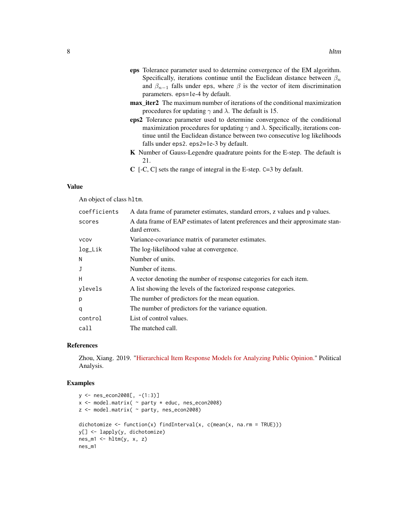- eps Tolerance parameter used to determine convergence of the EM algorithm. Specifically, iterations continue until the Euclidean distance between  $\beta_n$ and  $\beta_{n-1}$  falls under eps, where  $\beta$  is the vector of item discrimination parameters. eps=1e-4 by default.
- max\_iter2 The maximum number of iterations of the conditional maximization procedures for updating  $\gamma$  and  $\lambda$ . The default is 15.
- eps2 Tolerance parameter used to determine convergence of the conditional maximization procedures for updating  $\gamma$  and  $\lambda$ . Specifically, iterations continue until the Euclidean distance between two consecutive log likelihoods falls under eps2. eps2=1e-3 by default.
- K Number of Gauss-Legendre quadrature points for the E-step. The default is 21.
- C [-C, C] sets the range of integral in the E-step. C=3 by default.

#### Value

An object of class hltm.

| coefficients | A data frame of parameter estimates, standard errors, z values and p values.                    |
|--------------|-------------------------------------------------------------------------------------------------|
| scores       | A data frame of EAP estimates of latent preferences and their approximate stan-<br>dard errors. |
| <b>VCOV</b>  | Variance-covariance matrix of parameter estimates.                                              |
| log_Lik      | The log-likelihood value at convergence.                                                        |
| N            | Number of units.                                                                                |
| J            | Number of items.                                                                                |
| H            | A vector denoting the number of response categories for each item.                              |
| ylevels      | A list showing the levels of the factorized response categories.                                |
| p            | The number of predictors for the mean equation.                                                 |
| q            | The number of predictors for the variance equation.                                             |
| control      | List of control values.                                                                         |
| call         | The matched call.                                                                               |

#### References

Zhou, Xiang. 2019. ["Hierarchical Item Response Models for Analyzing Public Opinion."](https://doi.org/10.1017/pan.2018.63) Political Analysis.

#### Examples

```
y <- nes_econ2008[, -(1:3)]
x <- model.matrix( ~ party * educ, nes_econ2008)
z <- model.matrix( ~ party, nes_econ2008)
dichotomize \leq function(x) findInterval(x, c(mean(x, na.rm = TRUE)))
y[] <- lapply(y, dichotomize)
nes_m1 <- hltm(y, x, z)
nes_m1
```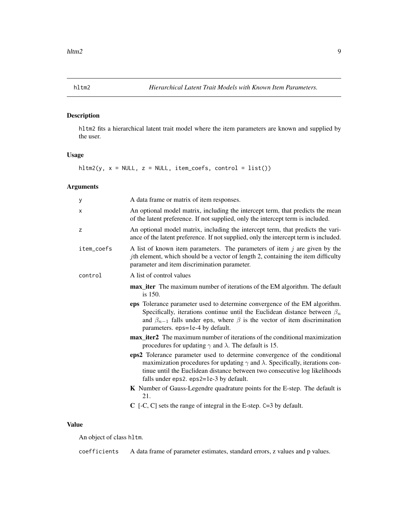<span id="page-8-0"></span>

#### Description

hltm2 fits a hierarchical latent trait model where the item parameters are known and supplied by the user.

#### Usage

 $hltm2(y, x = NULL, z = NULL, item\_coeffs, control = list())$ 

#### Arguments

| у          | A data frame or matrix of item responses.                                                                                                                                                                                                                                                         |
|------------|---------------------------------------------------------------------------------------------------------------------------------------------------------------------------------------------------------------------------------------------------------------------------------------------------|
| X          | An optional model matrix, including the intercept term, that predicts the mean<br>of the latent preference. If not supplied, only the intercept term is included.                                                                                                                                 |
| z          | An optional model matrix, including the intercept term, that predicts the vari-<br>ance of the latent preference. If not supplied, only the intercept term is included.                                                                                                                           |
| item_coefs | A list of known item parameters. The parameters of item $j$ are given by the<br><i>j</i> th element, which should be a vector of length 2, containing the item difficulty<br>parameter and item discrimination parameter.                                                                         |
| control    | A list of control values                                                                                                                                                                                                                                                                          |
|            | max_iter The maximum number of iterations of the EM algorithm. The default<br>is 150.                                                                                                                                                                                                             |
|            | eps Tolerance parameter used to determine convergence of the EM algorithm.<br>Specifically, iterations continue until the Euclidean distance between $\beta_n$<br>and $\beta_{n-1}$ falls under eps, where $\beta$ is the vector of item discrimination<br>parameters. eps=1e-4 by default.       |
|            | max_iter2 The maximum number of iterations of the conditional maximization<br>procedures for updating $\gamma$ and $\lambda$ . The default is 15.                                                                                                                                                 |
|            | eps2 Tolerance parameter used to determine convergence of the conditional<br>maximization procedures for updating $\gamma$ and $\lambda$ . Specifically, iterations con-<br>tinue until the Euclidean distance between two consecutive log likelihoods<br>falls under eps2. eps2=1e-3 by default. |
|            | <b>K</b> Number of Gauss-Legendre quadrature points for the E-step. The default is<br>21.                                                                                                                                                                                                         |
|            | $C$ [-C, C] sets the range of integral in the E-step. $C=3$ by default.                                                                                                                                                                                                                           |

#### Value

An object of class hltm.

coefficients A data frame of parameter estimates, standard errors, z values and p values.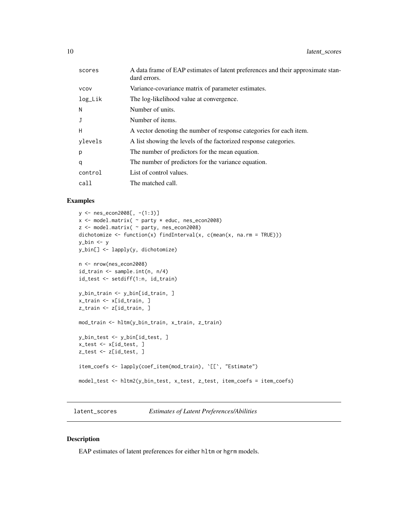<span id="page-9-0"></span>

| A data frame of EAP estimates of latent preferences and their approximate stan-<br>dard errors. |
|-------------------------------------------------------------------------------------------------|
| Variance-covariance matrix of parameter estimates.                                              |
| The log-likelihood value at convergence.                                                        |
| Number of units.                                                                                |
| Number of items.                                                                                |
| A vector denoting the number of response categories for each item.                              |
| A list showing the levels of the factorized response categories.                                |
| The number of predictors for the mean equation.                                                 |
| The number of predictors for the variance equation.                                             |
| List of control values.                                                                         |
| The matched call.                                                                               |
|                                                                                                 |

#### Examples

```
y <- nes_econ2008[, -(1:3)]
x <- model.matrix( ~ party * educ, nes_econ2008)
z <- model.matrix( ~ party, nes_econ2008)
dichotomize \leq function(x) findInterval(x, c(mean(x, na.rm = TRUE)))
y_bin <- y
y_bin[] <- lapply(y, dichotomize)
n <- nrow(nes_econ2008)
id_train <- sample.int(n, n/4)
id_test <- setdiff(1:n, id_train)
y_bin_train <- y_bin[id_train, ]
x_train <- x[id_train, ]
z_train <- z[id_train, ]
mod_train <- hltm(y_bin_train, x_train, z_train)
y_bin_test <- y_bin[id_test, ]
x_test <- x[id_test, ]
z_test <- z[id_test, ]
item_coefs <- lapply(coef_item(mod_train), `[[`, "Estimate")
model_test <- hltm2(y_bin_test, x_test, z_test, item_coefs = item_coefs)
```
latent\_scores *Estimates of Latent Preferences/Abilities*

#### Description

EAP estimates of latent preferences for either hltm or hgrm models.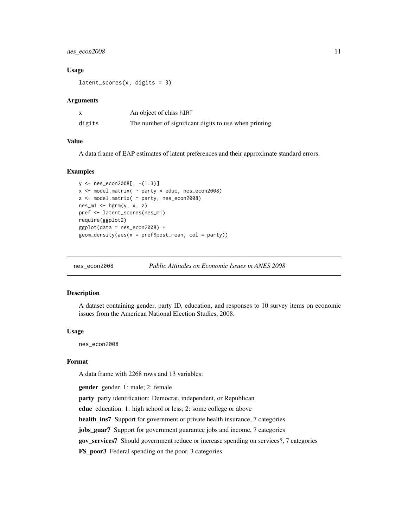#### <span id="page-10-0"></span>nes\_econ2008 11

#### Usage

 $latent_scores(x, digits = 3)$ 

#### Arguments

|        | An object of class hIRT                               |
|--------|-------------------------------------------------------|
| digits | The number of significant digits to use when printing |

#### Value

A data frame of EAP estimates of latent preferences and their approximate standard errors.

#### Examples

```
y <- nes_econ2008[, -(1:3)]
x <- model.matrix( ~ party * educ, nes_econ2008)
z <- model.matrix( ~ party, nes_econ2008)
nes_m1 \leq hgrm(y, x, z)pref <- latent_scores(nes_m1)
require(ggplot2)
ggplot(data = nes_econ2008) +
geom_density(aes(x = pref$post_mean, col = party))
```
nes\_econ2008 *Public Attitudes on Economic Issues in ANES 2008*

#### Description

A dataset containing gender, party ID, education, and responses to 10 survey items on economic issues from the American National Election Studies, 2008.

#### Usage

nes\_econ2008

#### Format

A data frame with 2268 rows and 13 variables:

gender gender. 1: male; 2: female

party party identification: Democrat, independent, or Republican

educ education. 1: high school or less; 2: some college or above

health\_ins7 Support for government or private health insurance, 7 categories

jobs\_guar7 Support for government guarantee jobs and income, 7 categories

gov\_services7 Should government reduce or increase spending on services?, 7 categories

FS\_poor3 Federal spending on the poor, 3 categories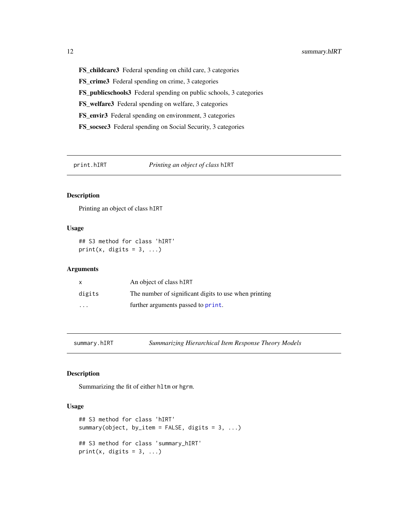FS\_childcare3 Federal spending on child care, 3 categories FS\_crime3 Federal spending on crime, 3 categories FS\_publicschools3 Federal spending on public schools, 3 categories FS\_welfare3 Federal spending on welfare, 3 categories FS\_envir3 Federal spending on environment, 3 categories FS\_socsec3 Federal spending on Social Security, 3 categories

print.hIRT *Printing an object of class* hIRT

#### Description

Printing an object of class hIRT

#### Usage

## S3 method for class 'hIRT' print(x, digits =  $3, ...$ )

#### **Arguments**

| X                       | An object of class hIRT                               |
|-------------------------|-------------------------------------------------------|
| digits                  | The number of significant digits to use when printing |
| $\cdot$ $\cdot$ $\cdot$ | further arguments passed to print.                    |

summary.hIRT *Summarizing Hierarchical Item Response Theory Models*

#### Description

Summarizing the fit of either hltm or hgrm.

#### Usage

```
## S3 method for class 'hIRT'
summary(object, by_item = FALSE, digits = 3, ...)
## S3 method for class 'summary_hIRT'
print(x, digits = 3, ...)
```
<span id="page-11-0"></span>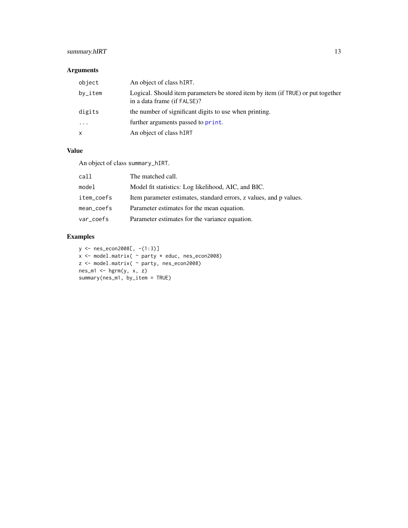#### <span id="page-12-0"></span>summary.hIRT 13

#### Arguments

| object   | An object of class hIRT.                                                                                        |
|----------|-----------------------------------------------------------------------------------------------------------------|
| by_item  | Logical. Should item parameters be stored item by item (if TRUE) or put together<br>in a data frame (if FALSE)? |
| digits   | the number of significant digits to use when printing.                                                          |
| $\cdots$ | further arguments passed to print.                                                                              |
| X        | An object of class hIRT                                                                                         |

#### Value

An object of class summary\_hIRT.

| call       | The matched call.                                                  |
|------------|--------------------------------------------------------------------|
| model      | Model fit statistics: Log likelihood, AIC, and BIC.                |
| item_coefs | Item parameter estimates, standard errors, z values, and p values. |
| mean_coefs | Parameter estimates for the mean equation.                         |
| var_coefs  | Parameter estimates for the variance equation.                     |

#### Examples

```
y <- nes_econ2008[, -(1:3)]
x <- model.matrix( ~ party * educ, nes_econ2008)
z <- model.matrix( ~ party, nes_econ2008)
nes_m1 <- hgrm(y, x, z)
summary(nes_m1, by_item = TRUE)
```